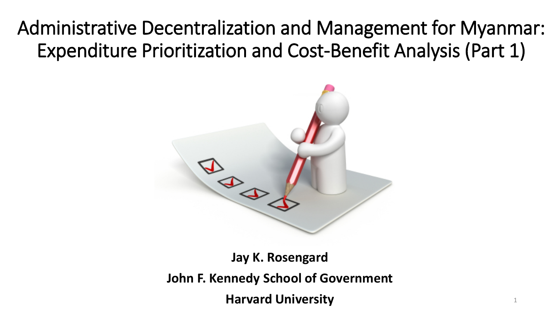#### Administrative Decentralization and Management for Myanmar: Expenditure Prioritization and Cost-Benefit Analysis (Part 1)



**Jay K. Rosengard John F. Kennedy School of Government Harvard University**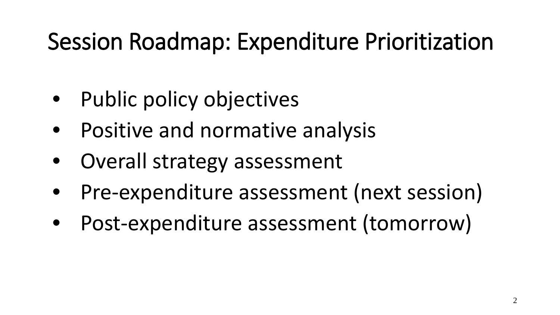## Session Roadmap: Expenditure Prioritization

- Public policy objectives
- Positive and normative analysis
- Overall strategy assessment
- Pre-expenditure assessment (next session)
- Post-expenditure assessment (tomorrow)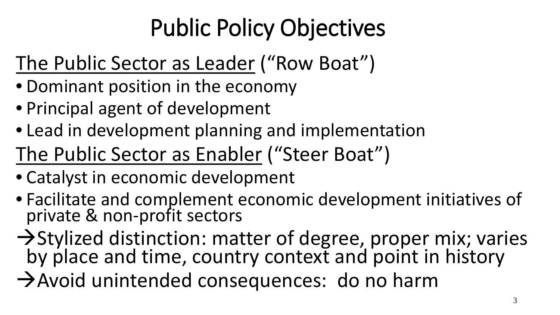# Public Policy Objectives

### The Public Sector as Leader ("Row Boat")

- Dominant position in the economy
- Principal agent of development
- Lead in development planning and implementation

The Public Sector as Enabler ("Steer Boat")

- Catalyst in economic development
- Facilitate and complement economic development initiatives of private & non-profit sectors
- $\rightarrow$  Stylized distinction: matter of degree, proper mix; varies by place and time, country context and point in history
- Avoid unintended consequences: do no harm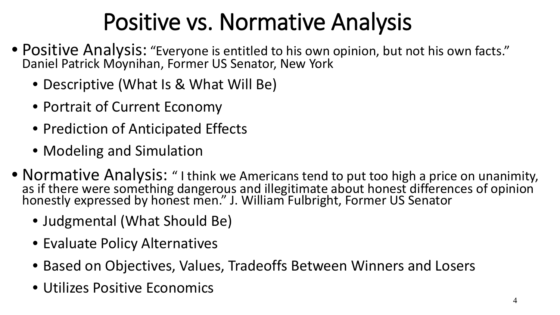# Positive vs. Normative Analysis

- Positive Analysis: "Everyone is entitled to his own opinion, but not his own facts." Daniel Patrick Moynihan, Former US Senator, New York
	- Descriptive (What Is & What Will Be)
	- Portrait of Current Economy
	- Prediction of Anticipated Effects
	- Modeling and Simulation
- Normative Analysis: " I think we Americans tend to put too high a price on unanimity, as if there were something dangerous and illegitimate about honest differences of opinion honestly expressed by honest men." J. William Fulbright, Former US Senator
	- Judgmental (What Should Be)
	- Evaluate Policy Alternatives
	- Based on Objectives, Values, Tradeoffs Between Winners and Losers
	- Utilizes Positive Economics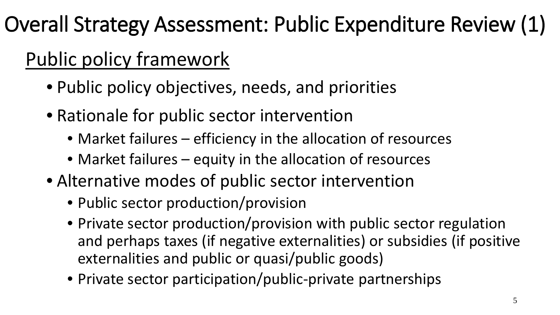### Overall Strategy Assessment: Public Expenditure Review (1)

### Public policy framework

- Public policy objectives, needs, and priorities
- Rationale for public sector intervention
	- Market failures efficiency in the allocation of resources
	- Market failures equity in the allocation of resources
- Alternative modes of public sector intervention
	- Public sector production/provision
	- Private sector production/provision with public sector regulation and perhaps taxes (if negative externalities) or subsidies (if positive externalities and public or quasi/public goods)
	- Private sector participation/public-private partnerships